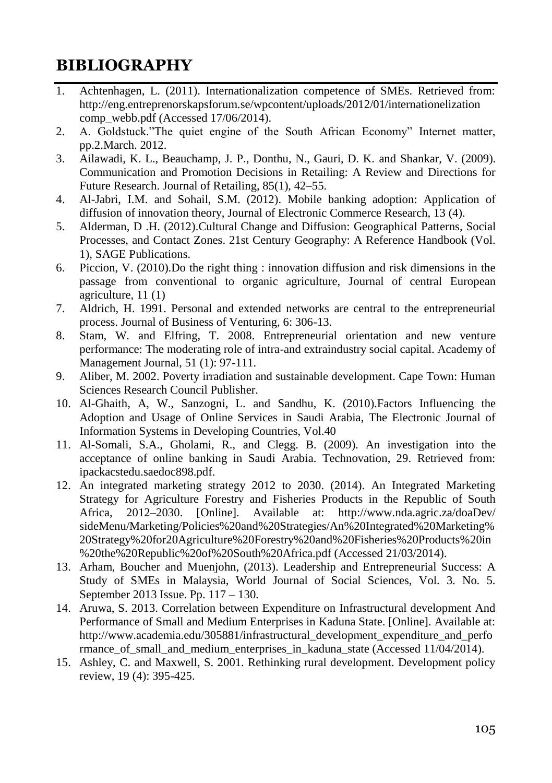## **BIBLIOGRAPHY**

- 1. Achtenhagen, L. (2011). Internationalization competence of SMEs. Retrieved from: http://eng.entreprenorskapsforum.se/wpcontent/uploads/2012/01/internationelization comp\_webb.pdf (Accessed  $17/06/2014$ ).
- 2. A. Goldstuck."The quiet engine of the South African Economy" Internet matter, pp.2.March. 2012.
- 3. Ailawadi, K. L., Beauchamp, J. P., Donthu, N., Gauri, D. K. and Shankar, V. (2009). Communication and Promotion Decisions in Retailing: A Review and Directions for Future Research. Journal of Retailing, 85(1), 42–55.
- 4. Al-Jabri, I.M. and Sohail, S.M. (2012). Mobile banking adoption: Application of diffusion of innovation theory, Journal of Electronic Commerce Research, 13 (4).
- 5. Alderman, D .H. (2012).Cultural Change and Diffusion: Geographical Patterns, Social Processes, and Contact Zones. 21st Century Geography: A Reference Handbook (Vol. 1), SAGE Publications.
- 6. Piccion, V. (2010).Do the right thing : innovation diffusion and risk dimensions in the passage from conventional to organic agriculture, Journal of central European agriculture, 11 (1)
- 7. Aldrich, H. 1991. Personal and extended networks are central to the entrepreneurial process. Journal of Business of Venturing, 6: 306-13.
- 8. Stam, W. and Elfring, T. 2008. Entrepreneurial orientation and new venture performance: The moderating role of intra-and extraindustry social capital. Academy of Management Journal, 51 (1): 97-111.
- 9. Aliber, M. 2002. Poverty irradiation and sustainable development. Cape Town: Human Sciences Research Council Publisher.
- 10. Al-Ghaith, A, W., Sanzogni, L. and Sandhu, K. (2010).Factors Influencing the Adoption and Usage of Online Services in Saudi Arabia, The Electronic Journal of Information Systems in Developing Countries, Vol.40
- 11. Al-Somali, S.A., Gholami, R., and Clegg. B. (2009). An investigation into the acceptance of online banking in Saudi Arabia. Technovation, 29. Retrieved from: ipackacstedu.saedoc898.pdf.
- 12. An integrated marketing strategy 2012 to 2030. (2014). An Integrated Marketing Strategy for Agriculture Forestry and Fisheries Products in the Republic of South Africa, 2012–2030. [Online]. Available at: http://www.nda.agric.za/doaDev/ sideMenu/Marketing/Policies%20and%20Strategies/An%20Integrated%20Marketing% 20Strategy%20for20Agriculture%20Forestry%20and%20Fisheries%20Products%20in %20the%20Republic%20of%20South%20Africa.pdf (Accessed 21/03/2014).
- 13. Arham, Boucher and Muenjohn, (2013). Leadership and Entrepreneurial Success: A Study of SMEs in Malaysia, World Journal of Social Sciences, Vol. 3. No. 5. September 2013 Issue. Pp. 117 – 130.
- 14. Aruwa, S. 2013. Correlation between Expenditure on Infrastructural development And Performance of Small and Medium Enterprises in Kaduna State. [Online]. Available at: http://www.academia.edu/305881/infrastructural\_development\_expenditure\_and\_perfo rmance of small and medium enterprises in kaduna state (Accessed 11/04/2014).
- 15. Ashley, C. and Maxwell, S. 2001. Rethinking rural development. Development policy review, 19 (4): 395-425.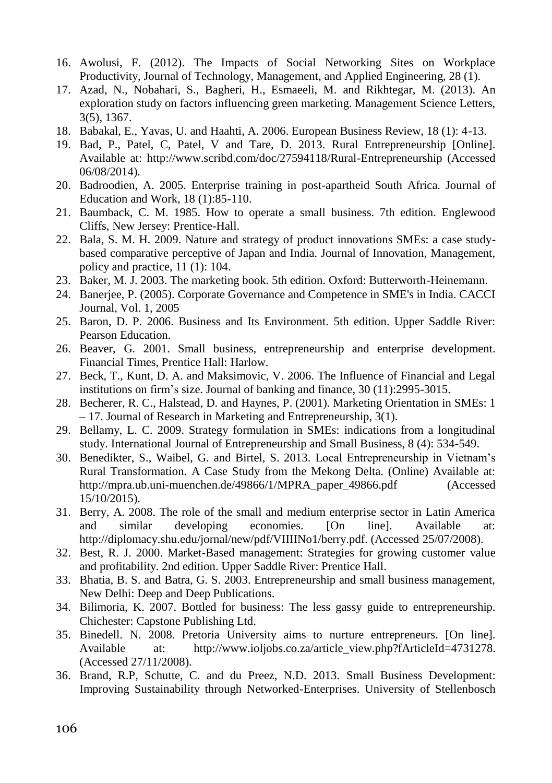- 16. Awolusi, F. (2012). The Impacts of Social Networking Sites on Workplace Productivity, Journal of Technology, Management, and Applied Engineering, 28 (1).
- 17. Azad, N., Nobahari, S., Bagheri, H., Esmaeeli, M. and Rikhtegar, M. (2013). An exploration study on factors influencing green marketing. Management Science Letters, 3(5), 1367.
- 18. Babakal, E., Yavas, U. and Haahti, A. 2006. European Business Review, 18 (1): 4-13.
- 19. Bad, P., Patel, C, Patel, V and Tare, D. 2013. Rural Entrepreneurship [Online]. Available at: http://www.scribd.com/doc/27594118/Rural-Entrepreneurship (Accessed 06/08/2014).
- 20. Badroodien, A. 2005. Enterprise training in post-apartheid South Africa. Journal of Education and Work, 18 (1):85-110.
- 21. Baumback, C. M. 1985. How to operate a small business. 7th edition. Englewood Cliffs, New Jersey: Prentice-Hall.
- 22. Bala, S. M. H. 2009. Nature and strategy of product innovations SMEs: a case studybased comparative perceptive of Japan and India. Journal of Innovation, Management, policy and practice, 11 (1): 104.
- 23. Baker, M. J. 2003. The marketing book. 5th edition. Oxford: Butterworth-Heinemann.
- 24. Banerjee, P. (2005). Corporate Governance and Competence in SME's in India. CACCI Journal, Vol. 1, 2005
- 25. Baron, D. P. 2006. Business and Its Environment. 5th edition. Upper Saddle River: Pearson Education.
- 26. Beaver, G. 2001. Small business, entrepreneurship and enterprise development. Financial Times, Prentice Hall: Harlow.
- 27. Beck, T., Kunt, D. A. and Maksimovic, V. 2006. The Influence of Financial and Legal institutions on firm's size. Journal of banking and finance, 30 (11):2995-3015.
- 28. Becherer, R. C., Halstead, D. and Haynes, P. (2001). Marketing Orientation in SMEs: 1 – 17. Journal of Research in Marketing and Entrepreneurship, 3(1).
- 29. Bellamy, L. C. 2009. Strategy formulation in SMEs: indications from a longitudinal study. International Journal of Entrepreneurship and Small Business, 8 (4): 534-549.
- 30. Benedikter, S., Waibel, G. and Birtel, S. 2013. Local Entrepreneurship in Vietnam's Rural Transformation. A Case Study from the Mekong Delta. (Online) Available at: http://mpra.ub.uni-muenchen.de/49866/1/MPRA\_paper\_49866.pdf (Accessed 15/10/2015).
- 31. Berry, A. 2008. The role of the small and medium enterprise sector in Latin America and similar developing economies. [On line]. Available at: http://diplomacy.shu.edu/jornal/new/pdf/VIIIINo1/berry.pdf. (Accessed 25/07/2008).
- 32. Best, R. J. 2000. Market-Based management: Strategies for growing customer value and profitability. 2nd edition. Upper Saddle River: Prentice Hall.
- 33. Bhatia, B. S. and Batra, G. S. 2003. Entrepreneurship and small business management, New Delhi: Deep and Deep Publications.
- 34. Bilimoria, K. 2007. Bottled for business: The less gassy guide to entrepreneurship. Chichester: Capstone Publishing Ltd.
- 35. Binedell. N. 2008. Pretoria University aims to nurture entrepreneurs. [On line]. Available at: http://www.ioliobs.co.za/article\_view.php?fArticleId=4731278. (Accessed 27/11/2008).
- 36. Brand, R.P, Schutte, C. and du Preez, N.D. 2013. Small Business Development: Improving Sustainability through Networked-Enterprises. University of Stellenbosch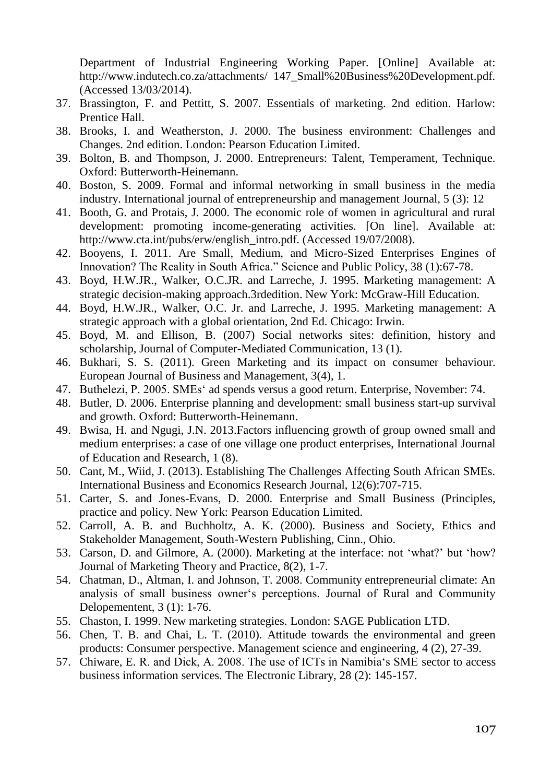Department of Industrial Engineering Working Paper. [Online] Available at: http://www.indutech.co.za/attachments/ 147\_Small%20Business%20Development.pdf. (Accessed 13/03/2014).

- 37. Brassington, F. and Pettitt, S. 2007. Essentials of marketing. 2nd edition. Harlow: Prentice Hall.
- 38. Brooks, I. and Weatherston, J. 2000. The business environment: Challenges and Changes. 2nd edition. London: Pearson Education Limited.
- 39. Bolton, B. and Thompson, J. 2000. Entrepreneurs: Talent, Temperament, Technique. Oxford: Butterworth-Heinemann.
- 40. Boston, S. 2009. Formal and informal networking in small business in the media industry. International journal of entrepreneurship and management Journal, 5 (3): 12
- 41. Booth, G. and Protais, J. 2000. The economic role of women in agricultural and rural development: promoting income-generating activities. [On line]. Available at: http://www.cta.int/pubs/erw/english\_intro.pdf. (Accessed 19/07/2008).
- 42. Booyens, I. 2011. Are Small, Medium, and Micro-Sized Enterprises Engines of Innovation? The Reality in South Africa." Science and Public Policy, 38 (1):67-78.
- 43. Boyd, H.W.JR., Walker, O.C.JR. and Larreche, J. 1995. Marketing management: A strategic decision-making approach.3rdedition. New York: McGraw-Hill Education.
- 44. Boyd, H.W.JR., Walker, O.C. Jr. and Larreche, J. 1995. Marketing management: A strategic approach with a global orientation, 2nd Ed. Chicago: Irwin.
- 45. Boyd, M. and Ellison, B. (2007) Social networks sites: definition, history and scholarship, Journal of Computer-Mediated Communication, 13 (1).
- 46. Bukhari, S. S. (2011). Green Marketing and its impact on consumer behaviour. European Journal of Business and Management, 3(4), 1.
- 47. Buthelezi, P. 2005. SMEs' ad spends versus a good return. Enterprise, November: 74.
- 48. Butler, D. 2006. Enterprise planning and development: small business start-up survival and growth. Oxford: Butterworth-Heinemann.
- 49. Bwisa, H. and Ngugi, J.N. 2013.Factors influencing growth of group owned small and medium enterprises: a case of one village one product enterprises, International Journal of Education and Research, 1 (8).
- 50. Cant, M., Wiid, J. (2013). Establishing The Challenges Affecting South African SMEs. International Business and Economics Research Journal, 12(6):707-715.
- 51. Carter, S. and Jones-Evans, D. 2000. Enterprise and Small Business (Principles, practice and policy. New York: Pearson Education Limited.
- 52. Carroll, A. B. and Buchholtz, A. K. (2000). Business and Society, Ethics and Stakeholder Management, South-Western Publishing, Cinn., Ohio.
- 53. Carson, D. and Gilmore, A. (2000). Marketing at the interface: not 'what?' but 'how? Journal of Marketing Theory and Practice, 8(2), 1-7.
- 54. Chatman, D., Altman, I. and Johnson, T. 2008. Community entrepreneurial climate: An analysis of small business owner's perceptions. Journal of Rural and Community Delopementent, 3 (1): 1-76.
- 55. Chaston, I. 1999. New marketing strategies. London: SAGE Publication LTD.
- 56. Chen, T. B. and Chai, L. T. (2010). Attitude towards the environmental and green products: Consumer perspective. Management science and engineering, 4 (2), 27-39.
- 57. Chiware, E. R. and Dick, A. 2008. The use of ICTs in Namibia's SME sector to access business information services. The Electronic Library, 28 (2): 145-157.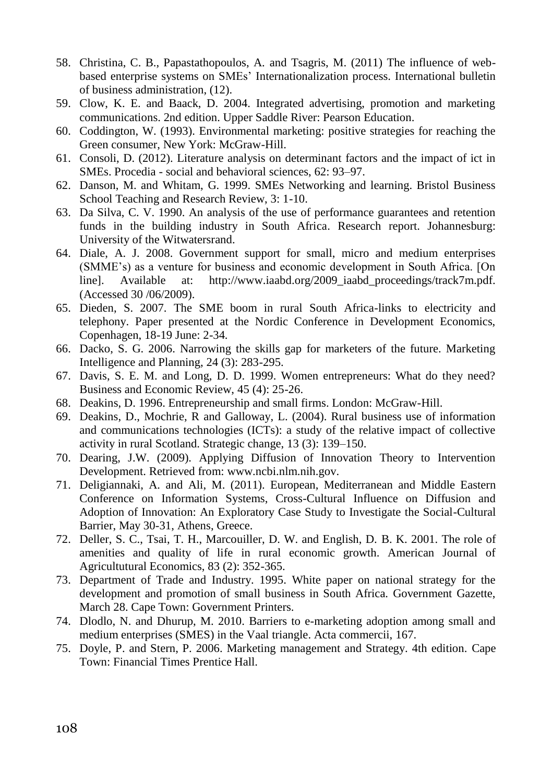- 58. Christina, C. B., Papastathopoulos, A. and Tsagris, M. (2011) The influence of webbased enterprise systems on SMEs' Internationalization process. International bulletin of business administration, (12).
- 59. Clow, K. E. and Baack, D. 2004. Integrated advertising, promotion and marketing communications. 2nd edition. Upper Saddle River: Pearson Education.
- 60. Coddington, W. (1993). Environmental marketing: positive strategies for reaching the Green consumer, New York: McGraw-Hill.
- 61. Consoli, D. (2012). Literature analysis on determinant factors and the impact of ict in SMEs. Procedia - social and behavioral sciences, 62: 93–97.
- 62. Danson, M. and Whitam, G. 1999. SMEs Networking and learning. Bristol Business School Teaching and Research Review, 3: 1-10.
- 63. Da Silva, C. V. 1990. An analysis of the use of performance guarantees and retention funds in the building industry in South Africa. Research report. Johannesburg: University of the Witwatersrand.
- 64. Diale, A. J. 2008. Government support for small, micro and medium enterprises (SMME's) as a venture for business and economic development in South Africa. [On line]. Available at: http://www.iaabd.org/2009\_iaabd\_proceedings/track7m.pdf. (Accessed 30 /06/2009).
- 65. Dieden, S. 2007. The SME boom in rural South Africa-links to electricity and telephony. Paper presented at the Nordic Conference in Development Economics, Copenhagen, 18-19 June: 2-34.
- 66. Dacko, S. G. 2006. Narrowing the skills gap for marketers of the future. Marketing Intelligence and Planning, 24 (3): 283-295.
- 67. Davis, S. E. M. and Long, D. D. 1999. Women entrepreneurs: What do they need? Business and Economic Review, 45 (4): 25-26.
- 68. Deakins, D. 1996. Entrepreneurship and small firms. London: McGraw-Hill.
- 69. Deakins, D., Mochrie, R and Galloway, L. (2004). Rural business use of information and communications technologies (ICTs): a study of the relative impact of collective activity in rural Scotland. Strategic change, 13 (3): 139–150.
- 70. Dearing, J.W. (2009). Applying Diffusion of Innovation Theory to Intervention Development. Retrieved from: www.ncbi.nlm.nih.gov.
- 71. Deligiannaki, A. and Ali, M. (2011). European, Mediterranean and Middle Eastern Conference on Information Systems, Cross-Cultural Influence on Diffusion and Adoption of Innovation: An Exploratory Case Study to Investigate the Social-Cultural Barrier, May 30-31, Athens, Greece.
- 72. Deller, S. C., Tsai, T. H., Marcouiller, D. W. and English, D. B. K. 2001. The role of amenities and quality of life in rural economic growth. American Journal of Agricultutural Economics, 83 (2): 352-365.
- 73. Department of Trade and Industry. 1995. White paper on national strategy for the development and promotion of small business in South Africa. Government Gazette, March 28. Cape Town: Government Printers.
- 74. Dlodlo, N. and Dhurup, M. 2010. Barriers to e-marketing adoption among small and medium enterprises (SMES) in the Vaal triangle. Acta commercii, 167.
- 75. Doyle, P. and Stern, P. 2006. Marketing management and Strategy. 4th edition. Cape Town: Financial Times Prentice Hall.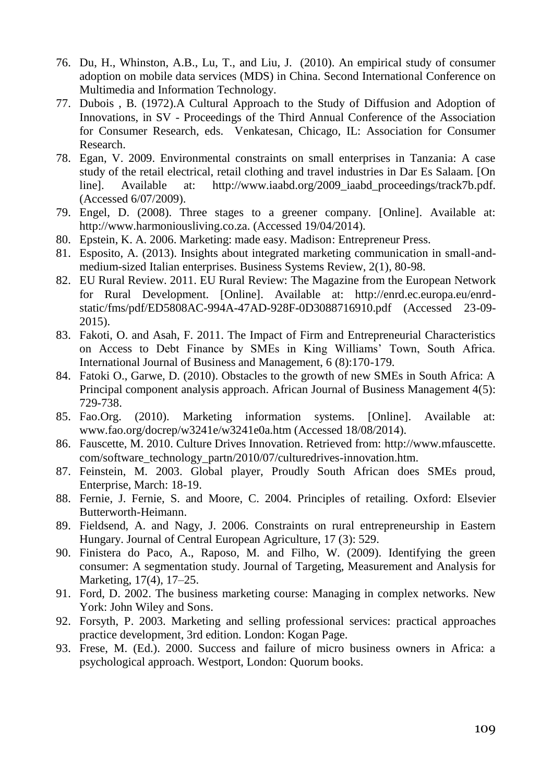- 76. Du, H., Whinston, A.B., Lu, T., and Liu, J. (2010). An empirical study of consumer adoption on mobile data services (MDS) in China. Second International Conference on Multimedia and Information Technology.
- 77. Dubois , B. (1972).A Cultural Approach to the Study of Diffusion and Adoption of Innovations, in SV - Proceedings of the Third Annual Conference of the Association for Consumer Research, eds. Venkatesan, Chicago, IL: Association for Consumer Research.
- 78. Egan, V. 2009. Environmental constraints on small enterprises in Tanzania: A case study of the retail electrical, retail clothing and travel industries in Dar Es Salaam. [On line]. Available at: http://www.iaabd.org/2009\_iaabd\_proceedings/track7b.pdf. (Accessed 6/07/2009).
- 79. Engel, D. (2008). Three stages to a greener company. [Online]. Available at: http://www.harmoniousliving.co.za. (Accessed 19/04/2014).
- 80. Epstein, K. A. 2006. Marketing: made easy. Madison: Entrepreneur Press.
- 81. Esposito, A. (2013). Insights about integrated marketing communication in small-andmedium-sized Italian enterprises. Business Systems Review, 2(1), 80-98.
- 82. EU Rural Review. 2011. EU Rural Review: The Magazine from the European Network for Rural Development. [Online]. Available at: http://enrd.ec.europa.eu/enrdstatic/fms/pdf/ED5808AC-994A-47AD-928F-0D3088716910.pdf (Accessed 23-09- 2015).
- 83. Fakoti, O. and Asah, F. 2011. The Impact of Firm and Entrepreneurial Characteristics on Access to Debt Finance by SMEs in King Williams' Town, South Africa. International Journal of Business and Management, 6 (8):170-179.
- 84. Fatoki O., Garwe, D. (2010). Obstacles to the growth of new SMEs in South Africa: A Principal component analysis approach. African Journal of Business Management 4(5): 729-738.
- 85. Fao.Org. (2010). Marketing information systems. [Online]. Available at: www.fao.org/docrep/w3241e/w3241e0a.htm (Accessed 18/08/2014).
- 86. Fauscette, M. 2010. Culture Drives Innovation. Retrieved from: http://www.mfauscette. com/software\_technology\_partn/2010/07/culturedrives-innovation.htm.
- 87. Feinstein, M. 2003. Global player, Proudly South African does SMEs proud, Enterprise, March: 18-19.
- 88. Fernie, J. Fernie, S. and Moore, C. 2004. Principles of retailing. Oxford: Elsevier Butterworth-Heimann.
- 89. Fieldsend, A. and Nagy, J. 2006. Constraints on rural entrepreneurship in Eastern Hungary. Journal of Central European Agriculture, 17 (3): 529.
- 90. Finistera do Paco, A., Raposo, M. and Filho, W. (2009). Identifying the green consumer: A segmentation study. Journal of Targeting, Measurement and Analysis for Marketing, 17(4), 17–25.
- 91. Ford, D. 2002. The business marketing course: Managing in complex networks. New York: John Wiley and Sons.
- 92. Forsyth, P. 2003. Marketing and selling professional services: practical approaches practice development, 3rd edition. London: Kogan Page.
- 93. Frese, M. (Ed.). 2000. Success and failure of micro business owners in Africa: a psychological approach. Westport, London: Quorum books.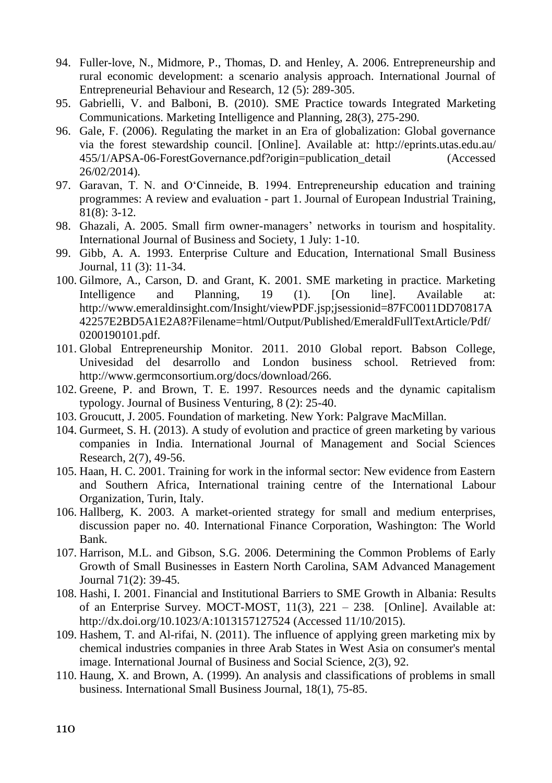- 94. Fuller-love, N., Midmore, P., Thomas, D. and Henley, A. 2006. Entrepreneurship and rural economic development: a scenario analysis approach. International Journal of Entrepreneurial Behaviour and Research, 12 (5): 289-305.
- 95. Gabrielli, V. and Balboni, B. (2010). SME Practice towards Integrated Marketing Communications. Marketing Intelligence and Planning, 28(3), 275-290.
- 96. Gale, F. (2006). Regulating the market in an Era of globalization: Global governance via the forest stewardship council. [Online]. Available at: http://eprints.utas.edu.au/ 455/1/APSA-06-ForestGovernance.pdf?origin=publication\_detail (Accessed 26/02/2014).
- 97. Garavan, T. N. and O'Cinneide, B. 1994. Entrepreneurship education and training programmes: A review and evaluation - part 1. Journal of European Industrial Training, 81(8): 3-12.
- 98. Ghazali, A. 2005. Small firm owner-managers' networks in tourism and hospitality. International Journal of Business and Society, 1 July: 1-10.
- 99. Gibb, A. A. 1993. Enterprise Culture and Education, International Small Business Journal, 11 (3): 11-34.
- 100. Gilmore, A., Carson, D. and Grant, K. 2001. SME marketing in practice. Marketing<br>Intelligence and Planning. 19 (1). [On line]. Available at: Intelligence and Planning, 19 (1). [On line]. Available at: http://www.emeraldinsight.com/Insight/viewPDF.jsp;jsessionid=87FC0011DD70817A 42257E2BD5A1E2A8?Filename=html/Output/Published/EmeraldFullTextArticle/Pdf/ 0200190101.pdf.
- 101. Global Entrepreneurship Monitor. 2011. 2010 Global report. Babson College, Univesidad del desarrollo and London business school. Retrieved from: http://www.germconsortium.org/docs/download/266.
- 102. Greene, P. and Brown, T. E. 1997. Resources needs and the dynamic capitalism typology. Journal of Business Venturing, 8 (2): 25-40.
- 103. Groucutt, J. 2005. Foundation of marketing. New York: Palgrave MacMillan.
- 104. Gurmeet, S. H. (2013). A study of evolution and practice of green marketing by various companies in India. International Journal of Management and Social Sciences Research, 2(7), 49-56.
- 105. Haan, H. C. 2001. Training for work in the informal sector: New evidence from Eastern and Southern Africa, International training centre of the International Labour Organization, Turin, Italy.
- 106. Hallberg, K. 2003. A market-oriented strategy for small and medium enterprises, discussion paper no. 40. International Finance Corporation, Washington: The World Bank.
- 107. Harrison, M.L. and Gibson, S.G. 2006. Determining the Common Problems of Early Growth of Small Businesses in Eastern North Carolina, SAM Advanced Management Journal 71(2): 39-45.
- 108. Hashi, I. 2001. Financial and Institutional Barriers to SME Growth in Albania: Results of an Enterprise Survey. MOCT-MOST, 11(3), 221 – 238. [Online]. Available at: http://dx.doi.org/10.1023/A:1013157127524 (Accessed 11/10/2015).
- 109. Hashem, T. and Al-rifai, N. (2011). The influence of applying green marketing mix by chemical industries companies in three Arab States in West Asia on consumer's mental image. International Journal of Business and Social Science, 2(3), 92.
- 110. Haung, X. and Brown, A. (1999). An analysis and classifications of problems in small business. International Small Business Journal, 18(1), 75-85.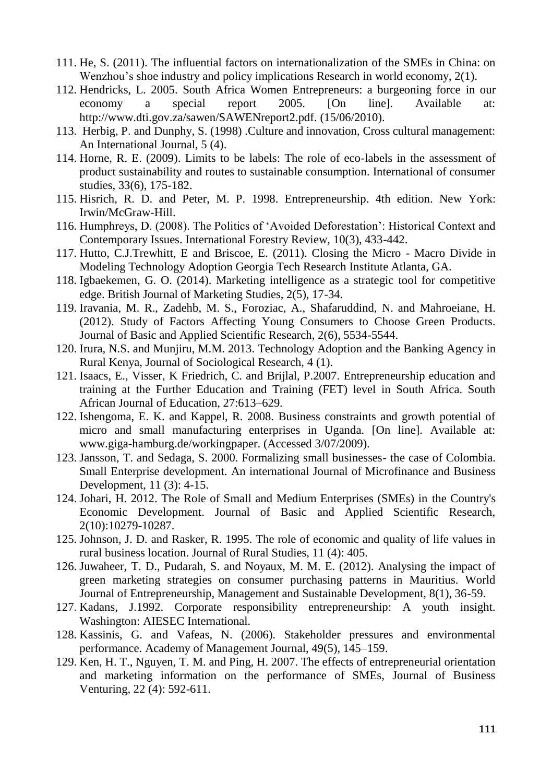- 111. He, S. (2011). The influential factors on internationalization of the SMEs in China: on Wenzhou's shoe industry and policy implications Research in world economy, 2(1).
- 112. Hendricks, L. 2005. South Africa Women Entrepreneurs: a burgeoning force in our economy a special report 2005. [On line]. Available at: http://www.dti.gov.za/sawen/SAWENreport2.pdf. (15/06/2010).
- 113. Herbig, P. and Dunphy, S. (1998) .Culture and innovation, Cross cultural management: An International Journal, 5 (4).
- 114. Horne, R. E. (2009). Limits to be labels: The role of eco-labels in the assessment of product sustainability and routes to sustainable consumption. International of consumer studies, 33(6), 175-182.
- 115. Hisrich, R. D. and Peter, M. P. 1998. Entrepreneurship. 4th edition. New York: Irwin/McGraw-Hill.
- 116. Humphreys, D. (2008). The Politics of 'Avoided Deforestation': Historical Context and Contemporary Issues. International Forestry Review, 10(3), 433-442.
- 117. Hutto, C.J.Trewhitt, E and Briscoe, E. (2011). Closing the Micro Macro Divide in Modeling Technology Adoption Georgia Tech Research Institute Atlanta, GA.
- 118. Igbaekemen, G. O. (2014). Marketing intelligence as a strategic tool for competitive edge. British Journal of Marketing Studies, 2(5), 17-34.
- 119. Iravania, M. R., Zadehb, M. S., Foroziac, A., Shafaruddind, N. and Mahroeiane, H. (2012). Study of Factors Affecting Young Consumers to Choose Green Products. Journal of Basic and Applied Scientific Research, 2(6), 5534-5544.
- 120. Irura, N.S. and Munjiru, M.M. 2013. Technology Adoption and the Banking Agency in Rural Kenya, Journal of Sociological Research, 4 (1).
- 121. Isaacs, E., Visser, K Friedrich, C. and Brijlal, P.2007. Entrepreneurship education and training at the Further Education and Training (FET) level in South Africa. South African Journal of Education, 27:613–629.
- 122. Ishengoma, E. K. and Kappel, R. 2008. Business constraints and growth potential of micro and small manufacturing enterprises in Uganda. [On line]. Available at: www.giga-hamburg.de/workingpaper. (Accessed 3/07/2009).
- 123. Jansson, T. and Sedaga, S. 2000. Formalizing small businesses- the case of Colombia. Small Enterprise development. An international Journal of Microfinance and Business Development, 11 (3): 4-15.
- 124. Johari, H. 2012. The Role of Small and Medium Enterprises (SMEs) in the Country's Economic Development. Journal of Basic and Applied Scientific Research, 2(10):10279-10287.
- 125. Johnson, J. D. and Rasker, R. 1995. The role of economic and quality of life values in rural business location. Journal of Rural Studies, 11 (4): 405.
- 126. Juwaheer, T. D., Pudarah, S. and Noyaux, M. M. E. (2012). Analysing the impact of green marketing strategies on consumer purchasing patterns in Mauritius. World Journal of Entrepreneurship, Management and Sustainable Development, 8(1), 36-59.
- 127. Kadans, J.1992. Corporate responsibility entrepreneurship: A youth insight. Washington: AIESEC International.
- 128. Kassinis, G. and Vafeas, N. (2006). Stakeholder pressures and environmental performance. Academy of Management Journal, 49(5), 145–159.
- 129. Ken, H. T., Nguyen, T. M. and Ping, H. 2007. The effects of entrepreneurial orientation and marketing information on the performance of SMEs, Journal of Business Venturing, 22 (4): 592-611.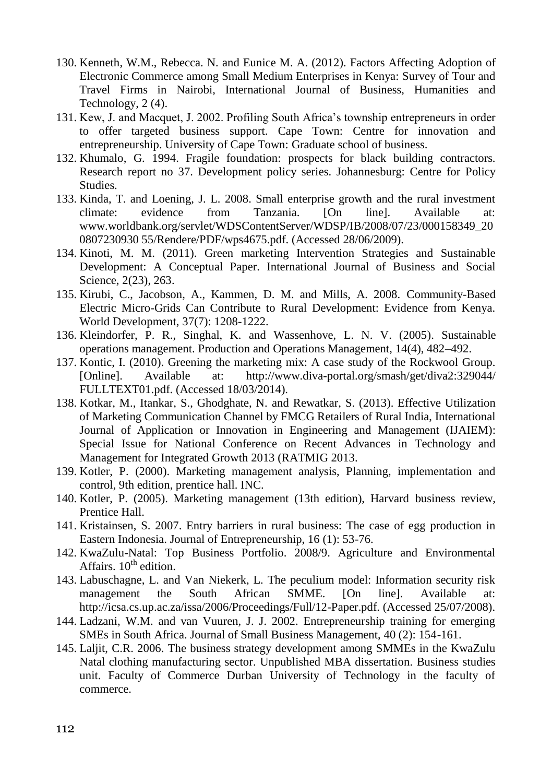- 130. Kenneth, W.M., Rebecca. N. and Eunice M. A. (2012). Factors Affecting Adoption of Electronic Commerce among Small Medium Enterprises in Kenya: Survey of Tour and Travel Firms in Nairobi, International Journal of Business, Humanities and Technology, 2 (4).
- 131. Kew, J. and Macquet, J. 2002. Profiling South Africa's township entrepreneurs in order to offer targeted business support. Cape Town: Centre for innovation and entrepreneurship. University of Cape Town: Graduate school of business.
- 132. Khumalo, G. 1994. Fragile foundation: prospects for black building contractors. Research report no 37. Development policy series. Johannesburg: Centre for Policy **Studies**
- 133. Kinda, T. and Loening, J. L. 2008. Small enterprise growth and the rural investment climate: evidence from Tanzania. [On line]. Available at: www.worldbank.org/servlet/WDSContentServer/WDSP/IB/2008/07/23/000158349\_20 0807230930 55/Rendere/PDF/wps4675.pdf. (Accessed 28/06/2009).
- 134. Kinoti, M. M. (2011). Green marketing Intervention Strategies and Sustainable Development: A Conceptual Paper. International Journal of Business and Social Science, 2(23), 263.
- 135. Kirubi, C., Jacobson, A., Kammen, D. M. and Mills, A. 2008. Community-Based Electric Micro-Grids Can Contribute to Rural Development: Evidence from Kenya. World Development, 37(7): 1208-1222.
- 136. Kleindorfer, P. R., Singhal, K. and Wassenhove, L. N. V. (2005). Sustainable operations management. Production and Operations Management, 14(4), 482–492.
- 137. Kontic, I. (2010). Greening the marketing mix: A case study of the Rockwool Group. [Online]. Available at: http://www.diva-portal.org/smash/get/diva2:329044/ FULLTEXT01.pdf. (Accessed 18/03/2014).
- 138. Kotkar, M., Itankar, S., Ghodghate, N. and Rewatkar, S. (2013). Effective Utilization of Marketing Communication Channel by FMCG Retailers of Rural India, International Journal of Application or Innovation in Engineering and Management (IJAIEM): Special Issue for National Conference on Recent Advances in Technology and Management for Integrated Growth 2013 (RATMIG 2013.
- 139. Kotler, P. (2000). Marketing management analysis, Planning, implementation and control, 9th edition, prentice hall. INC.
- 140. Kotler, P. (2005). Marketing management (13th edition), Harvard business review, Prentice Hall.
- 141. Kristainsen, S. 2007. Entry barriers in rural business: The case of egg production in Eastern Indonesia. Journal of Entrepreneurship, 16 (1): 53-76.
- 142. KwaZulu-Natal: Top Business Portfolio. 2008/9. Agriculture and Environmental Affairs.  $10^{th}$  edition.
- 143. Labuschagne, L. and Van Niekerk, L. The peculium model: Information security risk management the South African SMME. [On line]. Available at: http://icsa.cs.up.ac.za/issa/2006/Proceedings/Full/12-Paper.pdf. (Accessed 25/07/2008).
- 144. Ladzani, W.M. and van Vuuren, J. J. 2002. Entrepreneurship training for emerging SMEs in South Africa. Journal of Small Business Management, 40 (2): 154-161.
- 145. Laljit, C.R. 2006. The business strategy development among SMMEs in the KwaZulu Natal clothing manufacturing sector. Unpublished MBA dissertation. Business studies unit. Faculty of Commerce Durban University of Technology in the faculty of commerce.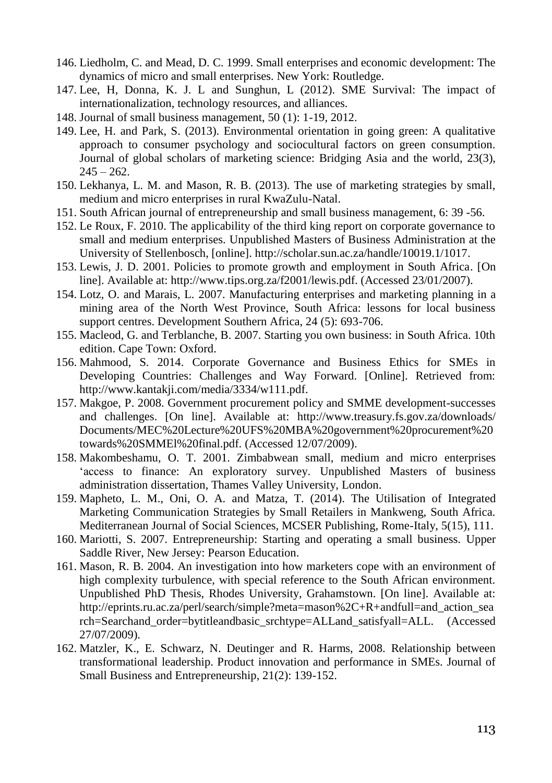- 146. Liedholm, C. and Mead, D. C. 1999. Small enterprises and economic development: The dynamics of micro and small enterprises. New York: Routledge.
- 147. Lee, H, Donna, K. J. L and Sunghun, L (2012). SME Survival: The impact of internationalization, technology resources, and alliances.
- 148. Journal of small business management, 50 (1): 1-19, 2012.
- 149. Lee, H. and Park, S. (2013). Environmental orientation in going green: A qualitative approach to consumer psychology and sociocultural factors on green consumption. Journal of global scholars of marketing science: Bridging Asia and the world, 23(3),  $245 - 262.$
- 150. Lekhanya, L. M. and Mason, R. B. (2013). The use of marketing strategies by small, medium and micro enterprises in rural KwaZulu-Natal.
- 151. South African journal of entrepreneurship and small business management, 6: 39 -56.
- 152. Le Roux, F. 2010. The applicability of the third king report on corporate governance to small and medium enterprises. Unpublished Masters of Business Administration at the University of Stellenbosch, [online]. http://scholar.sun.ac.za/handle/10019.1/1017.
- 153. Lewis, J. D. 2001. Policies to promote growth and employment in South Africa. [On line]. Available at: http://www.tips.org.za/f2001/lewis.pdf. (Accessed 23/01/2007).
- 154. Lotz, O. and Marais, L. 2007. Manufacturing enterprises and marketing planning in a mining area of the North West Province, South Africa: lessons for local business support centres. Development Southern Africa, 24 (5): 693-706.
- 155. Macleod, G. and Terblanche, B. 2007. Starting you own business: in South Africa. 10th edition. Cape Town: Oxford.
- 156. Mahmood, S. 2014. Corporate Governance and Business Ethics for SMEs in Developing Countries: Challenges and Way Forward. [Online]. Retrieved from: http://www.kantakji.com/media/3334/w111.pdf.
- 157. Makgoe, P. 2008. Government procurement policy and SMME development-successes and challenges. [On line]. Available at: http://www.treasury.fs.gov.za/downloads/ Documents/MEC%20Lecture%20UFS%20MBA%20government%20procurement%20 towards%20SMMEl%20final.pdf. (Accessed 12/07/2009).
- 158. Makombeshamu, O. T. 2001. Zimbabwean small, medium and micro enterprises 'access to finance: An exploratory survey. Unpublished Masters of business administration dissertation, Thames Valley University, London.
- 159. Mapheto, L. M., Oni, O. A. and Matza, T. (2014). The Utilisation of Integrated Marketing Communication Strategies by Small Retailers in Mankweng, South Africa. Mediterranean Journal of Social Sciences, MCSER Publishing, Rome-Italy, 5(15), 111.
- 160. Mariotti, S. 2007. Entrepreneurship: Starting and operating a small business. Upper Saddle River, New Jersey: Pearson Education.
- 161. Mason, R. B. 2004. An investigation into how marketers cope with an environment of high complexity turbulence, with special reference to the South African environment. Unpublished PhD Thesis, Rhodes University, Grahamstown. [On line]. Available at: http://eprints.ru.ac.za/perl/search/simple?meta=mason%2C+R+andfull=and\_action\_sea rch=Searchand\_order=bytitleandbasic\_srchtype=ALLand\_satisfyall=ALL. (Accessed 27/07/2009).
- 162. Matzler, K., E. Schwarz, N. Deutinger and R. Harms, 2008. Relationship between transformational leadership. Product innovation and performance in SMEs. Journal of Small Business and Entrepreneurship, 21(2): 139-152.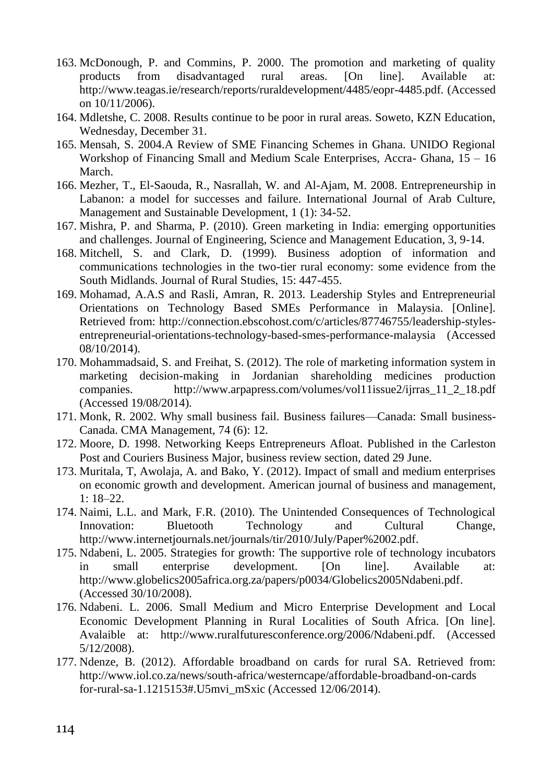- 163. McDonough, P. and Commins, P. 2000. The promotion and marketing of quality products from disadvantaged rural areas. [On line]. Available at: http://www.teagas.ie/research/reports/ruraldevelopment/4485/eopr-4485.pdf. (Accessed on 10/11/2006).
- 164. Mdletshe, C. 2008. Results continue to be poor in rural areas. Soweto, KZN Education, Wednesday, December 31.
- 165. Mensah, S. 2004.A Review of SME Financing Schemes in Ghana. UNIDO Regional Workshop of Financing Small and Medium Scale Enterprises, Accra- Ghana, 15 – 16 March.
- 166. Mezher, T., El-Saouda, R., Nasrallah, W. and Al-Ajam, M. 2008. Entrepreneurship in Labanon: a model for successes and failure. International Journal of Arab Culture, Management and Sustainable Development, 1 (1): 34-52.
- 167. Mishra, P. and Sharma, P. (2010). Green marketing in India: emerging opportunities and challenges. Journal of Engineering, Science and Management Education, 3, 9-14.
- 168. Mitchell, S. and Clark, D. (1999). Business adoption of information and communications technologies in the two-tier rural economy: some evidence from the South Midlands. Journal of Rural Studies, 15: 447-455.
- 169. Mohamad, A.A.S and Rasli, Amran, R. 2013. Leadership Styles and Entrepreneurial Orientations on Technology Based SMEs Performance in Malaysia. [Online]. Retrieved from: http://connection.ebscohost.com/c/articles/87746755/leadership-stylesentrepreneurial-orientations-technology-based-smes-performance-malaysia (Accessed 08/10/2014).
- 170. Mohammadsaid, S. and Freihat, S. (2012). The role of marketing information system in marketing decision-making in Jordanian shareholding medicines production companies. http://www.arpapress.com/volumes/vol11issue2/ijrras\_11\_2\_18.pdf (Accessed 19/08/2014).
- 171. Monk, R. 2002. Why small business fail. Business failures—Canada: Small business-Canada. CMA Management, 74 (6): 12.
- 172. Moore, D. 1998. Networking Keeps Entrepreneurs Afloat. Published in the Carleston Post and Couriers Business Major, business review section, dated 29 June.
- 173. Muritala, T, Awolaja, A. and Bako, Y. (2012). Impact of small and medium enterprises on economic growth and development. American journal of business and management, 1: 18–22.
- 174. Naimi, L.L. and Mark, F.R. (2010). The Unintended Consequences of Technological Innovation: Bluetooth Technology and Cultural Change, http://www.internetjournals.net/journals/tir/2010/July/Paper%2002.pdf.
- 175. Ndabeni, L. 2005. Strategies for growth: The supportive role of technology incubators in small enterprise development. [On line]. Available at: http://www.globelics2005africa.org.za/papers/p0034/Globelics2005Ndabeni.pdf. (Accessed 30/10/2008).
- 176. Ndabeni. L. 2006. Small Medium and Micro Enterprise Development and Local Economic Development Planning in Rural Localities of South Africa. [On line]. Avalaible at: http://www.ruralfuturesconference.org/2006/Ndabeni.pdf. (Accessed 5/12/2008).
- 177. Ndenze, B. (2012). Affordable broadband on cards for rural SA. Retrieved from: http://www.iol.co.za/news/south-africa/westerncape/affordable-broadband-on-cards for-rural-sa-1.1215153#.U5mvi\_mSxic (Accessed 12/06/2014).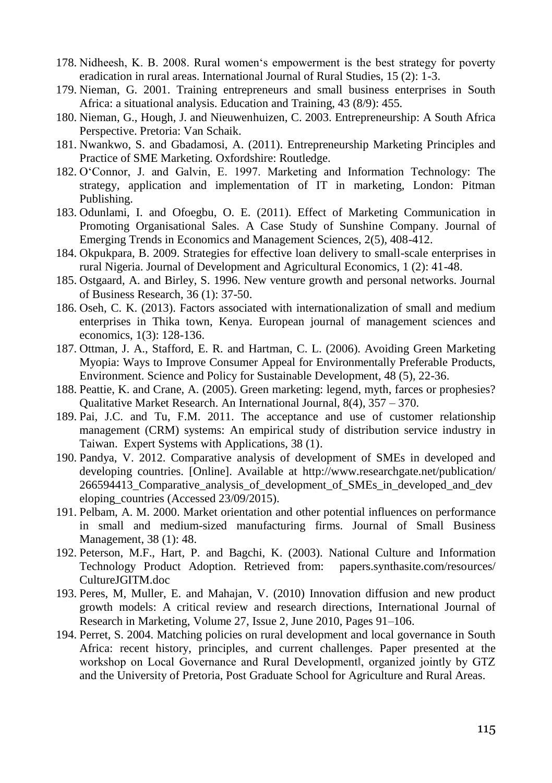- 178. Nidheesh, K. B. 2008. Rural women's empowerment is the best strategy for poverty eradication in rural areas. International Journal of Rural Studies, 15 (2): 1-3.
- 179. Nieman, G. 2001. Training entrepreneurs and small business enterprises in South Africa: a situational analysis. Education and Training, 43 (8/9): 455.
- 180. Nieman, G., Hough, J. and Nieuwenhuizen, C. 2003. Entrepreneurship: A South Africa Perspective. Pretoria: Van Schaik.
- 181. Nwankwo, S. and Gbadamosi, A. (2011). Entrepreneurship Marketing Principles and Practice of SME Marketing. Oxfordshire: Routledge.
- 182. O'Connor, J. and Galvin, E. 1997. Marketing and Information Technology: The strategy, application and implementation of IT in marketing, London: Pitman Publishing.
- 183. Odunlami, I. and Ofoegbu, O. E. (2011). Effect of Marketing Communication in Promoting Organisational Sales. A Case Study of Sunshine Company. Journal of Emerging Trends in Economics and Management Sciences, 2(5), 408-412.
- 184. Okpukpara, B. 2009. Strategies for effective loan delivery to small-scale enterprises in rural Nigeria. Journal of Development and Agricultural Economics, 1 (2): 41-48.
- 185. Ostgaard, A. and Birley, S. 1996. New venture growth and personal networks. Journal of Business Research, 36 (1): 37-50.
- 186. Oseh, C. K. (2013). Factors associated with internationalization of small and medium enterprises in Thika town, Kenya. European journal of management sciences and economics, 1(3): 128-136.
- 187. Ottman, J. A., Stafford, E. R. and Hartman, C. L. (2006). Avoiding Green Marketing Myopia: Ways to Improve Consumer Appeal for Environmentally Preferable Products, Environment. Science and Policy for Sustainable Development, 48 (5), 22-36.
- 188. Peattie, K. and Crane, A. (2005). Green marketing: legend, myth, farces or prophesies? Qualitative Market Research. An International Journal, 8(4), 357 – 370.
- 189. Pai, J.C. and Tu, F.M. 2011. The acceptance and use of customer relationship management (CRM) systems: An empirical study of distribution service industry in Taiwan. Expert Systems with Applications, 38 (1).
- 190. Pandya, V. 2012. Comparative analysis of development of SMEs in developed and developing countries. [Online]. Available at http://www.researchgate.net/publication/ 266594413 Comparative analysis of development of SMEs in developed and dev eloping\_countries (Accessed 23/09/2015).
- 191. Pelbam, A. M. 2000. Market orientation and other potential influences on performance in small and medium-sized manufacturing firms. Journal of Small Business Management, 38 (1): 48.
- 192. Peterson, M.F., Hart, P. and Bagchi, K. (2003). National Culture and Information Technology Product Adoption. Retrieved from: papers.synthasite.com/resources/ CultureJGITM.doc
- 193. Peres, M, Muller, E. and Mahajan, V. (2010) Innovation diffusion and new product growth models: A critical review and research directions, International Journal of Research in Marketing, Volume 27, Issue 2, June 2010, Pages 91–106.
- 194. Perret, S. 2004. Matching policies on rural development and local governance in South Africa: recent history, principles, and current challenges. Paper presented at the workshop on Local Governance and Rural Developmentl, organized jointly by GTZ and the University of Pretoria, Post Graduate School for Agriculture and Rural Areas.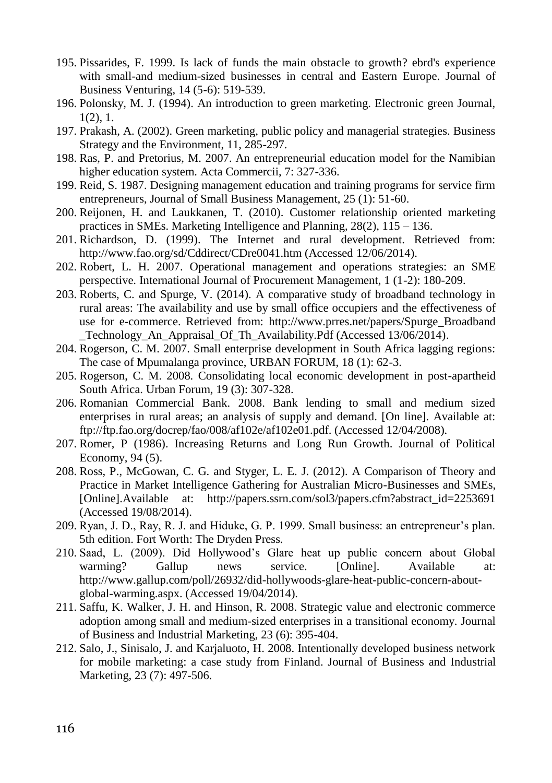- 195. Pissarides, F. 1999. Is lack of funds the main obstacle to growth? ebrd's experience with small-and medium-sized businesses in central and Eastern Europe. Journal of Business Venturing, 14 (5-6): 519-539.
- 196. Polonsky, M. J. (1994). An introduction to green marketing. Electronic green Journal, 1(2), 1.
- 197. Prakash, A. (2002). Green marketing, public policy and managerial strategies. Business Strategy and the Environment, 11, 285-297.
- 198. Ras, P. and Pretorius, M. 2007. An entrepreneurial education model for the Namibian higher education system. Acta Commercii, 7: 327-336.
- 199. Reid, S. 1987. Designing management education and training programs for service firm entrepreneurs, Journal of Small Business Management, 25 (1): 51-60.
- 200. Reijonen, H. and Laukkanen, T. (2010). Customer relationship oriented marketing practices in SMEs. Marketing Intelligence and Planning, 28(2), 115 – 136.
- 201. Richardson, D. (1999). The Internet and rural development. Retrieved from: http://www.fao.org/sd/Cddirect/CDre0041.htm (Accessed 12/06/2014).
- 202. Robert, L. H. 2007. Operational management and operations strategies: an SME perspective. International Journal of Procurement Management, 1 (1-2): 180-209.
- 203. Roberts, C. and Spurge, V. (2014). A comparative study of broadband technology in rural areas: The availability and use by small office occupiers and the effectiveness of use for e-commerce. Retrieved from: http://www.prres.net/papers/Spurge\_Broadband \_Technology\_An\_Appraisal\_Of\_Th\_Availability.Pdf (Accessed 13/06/2014).
- 204. Rogerson, C. M. 2007. Small enterprise development in South Africa lagging regions: The case of Mpumalanga province, URBAN FORUM, 18 (1): 62-3.
- 205. Rogerson, C. M. 2008. Consolidating local economic development in post-apartheid South Africa. Urban Forum, 19 (3): 307-328.
- 206. Romanian Commercial Bank. 2008. Bank lending to small and medium sized enterprises in rural areas; an analysis of supply and demand. [On line]. Available at: ftp://ftp.fao.org/docrep/fao/008/af102e/af102e01.pdf. (Accessed 12/04/2008).
- 207. Romer, P (1986). Increasing Returns and Long Run Growth. Journal of Political Economy, 94 (5).
- 208. Ross, P., McGowan, C. G. and Styger, L. E. J. (2012). A Comparison of Theory and Practice in Market Intelligence Gathering for Australian Micro-Businesses and SMEs, [Online].Available at: http://papers.ssrn.com/sol3/papers.cfm?abstract\_id=2253691 (Accessed 19/08/2014).
- 209. Ryan, J. D., Ray, R. J. and Hiduke, G. P. 1999. Small business: an entrepreneur's plan. 5th edition. Fort Worth: The Dryden Press.
- 210. Saad, L. (2009). Did Hollywood's Glare heat up public concern about Global warming? Gallup news service. [Online]. Available at: http://www.gallup.com/poll/26932/did-hollywoods-glare-heat-public-concern-aboutglobal-warming.aspx. (Accessed 19/04/2014).
- 211. Saffu, K. Walker, J. H. and Hinson, R. 2008. Strategic value and electronic commerce adoption among small and medium-sized enterprises in a transitional economy. Journal of Business and Industrial Marketing, 23 (6): 395-404.
- 212. Salo, J., Sinisalo, J. and Karjaluoto, H. 2008. Intentionally developed business network for mobile marketing: a case study from Finland. Journal of Business and Industrial Marketing, 23 (7): 497-506.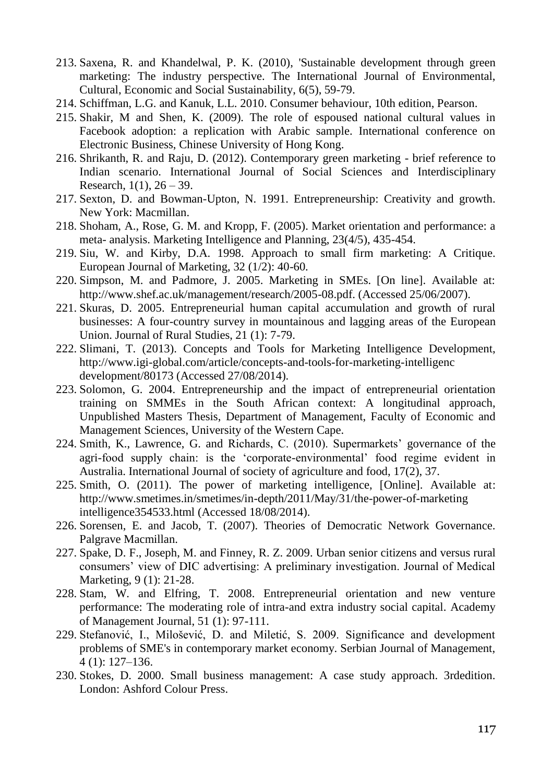- 213. Saxena, R. and Khandelwal, P. K. (2010), 'Sustainable development through green marketing: The industry perspective. The International Journal of Environmental, Cultural, Economic and Social Sustainability, 6(5), 59-79.
- 214. Schiffman, L.G. and Kanuk, L.L. 2010. Consumer behaviour, 10th edition, Pearson.
- 215. Shakir, M and Shen, K. (2009). The role of espoused national cultural values in Facebook adoption: a replication with Arabic sample. International conference on Electronic Business, Chinese University of Hong Kong.
- 216. Shrikanth, R. and Raju, D. (2012). Contemporary green marketing brief reference to Indian scenario. International Journal of Social Sciences and Interdisciplinary Research,  $1(1)$ ,  $26 - 39$ .
- 217. Sexton, D. and Bowman-Upton, N. 1991. Entrepreneurship: Creativity and growth. New York: Macmillan.
- 218. Shoham, A., Rose, G. M. and Kropp, F. (2005). Market orientation and performance: a meta- analysis. Marketing Intelligence and Planning, 23(4/5), 435-454.
- 219. Siu, W. and Kirby, D.A. 1998. Approach to small firm marketing: A Critique. European Journal of Marketing, 32 (1/2): 40-60.
- 220. Simpson, M. and Padmore, J. 2005. Marketing in SMEs. [On line]. Available at: http://www.shef.ac.uk/management/research/2005-08.pdf. (Accessed 25/06/2007).
- 221. Skuras, D. 2005. Entrepreneurial human capital accumulation and growth of rural businesses: A four-country survey in mountainous and lagging areas of the European Union. Journal of Rural Studies, 21 (1): 7-79.
- 222. Slimani, T. (2013). Concepts and Tools for Marketing Intelligence Development, http://www.igi-global.com/article/concepts-and-tools-for-marketing-intelligenc development/80173 (Accessed 27/08/2014).
- 223. Solomon, G. 2004. Entrepreneurship and the impact of entrepreneurial orientation training on SMMEs in the South African context: A longitudinal approach, Unpublished Masters Thesis, Department of Management, Faculty of Economic and Management Sciences, University of the Western Cape.
- 224. Smith, K., Lawrence, G. and Richards, C. (2010). Supermarkets' governance of the agri-food supply chain: is the 'corporate-environmental' food regime evident in Australia. International Journal of society of agriculture and food, 17(2), 37.
- 225. Smith, O. (2011). The power of marketing intelligence, [Online]. Available at: http://www.smetimes.in/smetimes/in-depth/2011/May/31/the-power-of-marketing intelligence354533.html (Accessed 18/08/2014).
- 226. Sorensen, E. and Jacob, T. (2007). Theories of Democratic Network Governance. Palgrave Macmillan.
- 227. Spake, D. F., Joseph, M. and Finney, R. Z. 2009. Urban senior citizens and versus rural consumers' view of DIC advertising: A preliminary investigation. Journal of Medical Marketing, 9 (1): 21-28.
- 228. Stam, W. and Elfring, T. 2008. Entrepreneurial orientation and new venture performance: The moderating role of intra-and extra industry social capital. Academy of Management Journal, 51 (1): 97-111.
- 229. Stefanović, I., Milošević, D. and Miletić, S. 2009. Significance and development problems of SME's in contemporary market economy. Serbian Journal of Management, 4 (1): 127–136.
- 230. Stokes, D. 2000. Small business management: A case study approach. 3rdedition. London: Ashford Colour Press.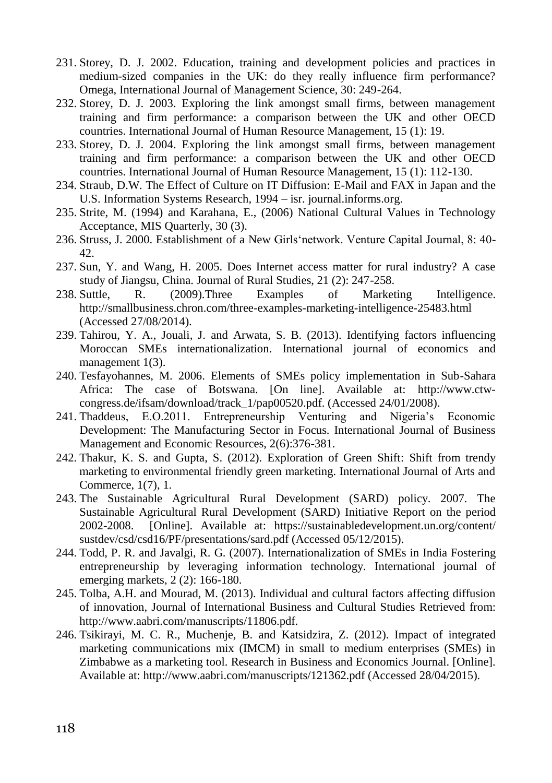- 231. Storey, D. J. 2002. Education, training and development policies and practices in medium-sized companies in the UK: do they really influence firm performance? Omega, International Journal of Management Science, 30: 249-264.
- 232. Storey, D. J. 2003. Exploring the link amongst small firms, between management training and firm performance: a comparison between the UK and other OECD countries. International Journal of Human Resource Management, 15 (1): 19.
- 233. Storey, D. J. 2004. Exploring the link amongst small firms, between management training and firm performance: a comparison between the UK and other OECD countries. International Journal of Human Resource Management, 15 (1): 112-130.
- 234. Straub, D.W. The Effect of Culture on IT Diffusion: E-Mail and FAX in Japan and the U.S. Information Systems Research, 1994 – isr. journal.informs.org.
- 235. Strite, M. (1994) and Karahana, E., (2006) National Cultural Values in Technology Acceptance, MIS Quarterly, 30 (3).
- 236. Struss, J. 2000. Establishment of a New Girls'network. Venture Capital Journal, 8: 40- 42.
- 237. Sun, Y. and Wang, H. 2005. Does Internet access matter for rural industry? A case study of Jiangsu, China. Journal of Rural Studies, 21 (2): 247-258.<br>Suttle. R. (2009). Three Examples of Marketing
- 238. Suttle, R. (2009).Three Examples of Marketing Intelligence. http://smallbusiness.chron.com/three-examples-marketing-intelligence-25483.html (Accessed 27/08/2014).
- 239. Tahirou, Y. A., Jouali, J. and Arwata, S. B. (2013). Identifying factors influencing Moroccan SMEs internationalization. International journal of economics and management 1(3).
- 240. Tesfayohannes, M. 2006. Elements of SMEs policy implementation in Sub-Sahara Africa: The case of Botswana. [On line]. Available at: http://www.ctwcongress.de/ifsam/download/track\_1/pap00520.pdf. (Accessed 24/01/2008).
- 241. Thaddeus, E.O.2011. Entrepreneurship Venturing and Nigeria's Economic Development: The Manufacturing Sector in Focus. International Journal of Business Management and Economic Resources, 2(6):376-381.
- 242. Thakur, K. S. and Gupta, S. (2012). Exploration of Green Shift: Shift from trendy marketing to environmental friendly green marketing. International Journal of Arts and Commerce, 1(7), 1.
- 243. The Sustainable Agricultural Rural Development (SARD) policy. 2007. The Sustainable Agricultural Rural Development (SARD) Initiative Report on the period 2002-2008. [Online]. Available at: https://sustainabledevelopment.un.org/content/ sustdev/csd/csd16/PF/presentations/sard.pdf (Accessed 05/12/2015).
- 244. Todd, P. R. and Javalgi, R. G. (2007). Internationalization of SMEs in India Fostering entrepreneurship by leveraging information technology. International journal of emerging markets, 2 (2): 166-180.
- 245. Tolba, A.H. and Mourad, M. (2013). Individual and cultural factors affecting diffusion of innovation, Journal of International Business and Cultural Studies Retrieved from: http://www.aabri.com/manuscripts/11806.pdf.
- 246. Tsikirayi, M. C. R., Muchenje, B. and Katsidzira, Z. (2012). Impact of integrated marketing communications mix (IMCM) in small to medium enterprises (SMEs) in Zimbabwe as a marketing tool. Research in Business and Economics Journal. [Online]. Available at: http://www.aabri.com/manuscripts/121362.pdf (Accessed 28/04/2015).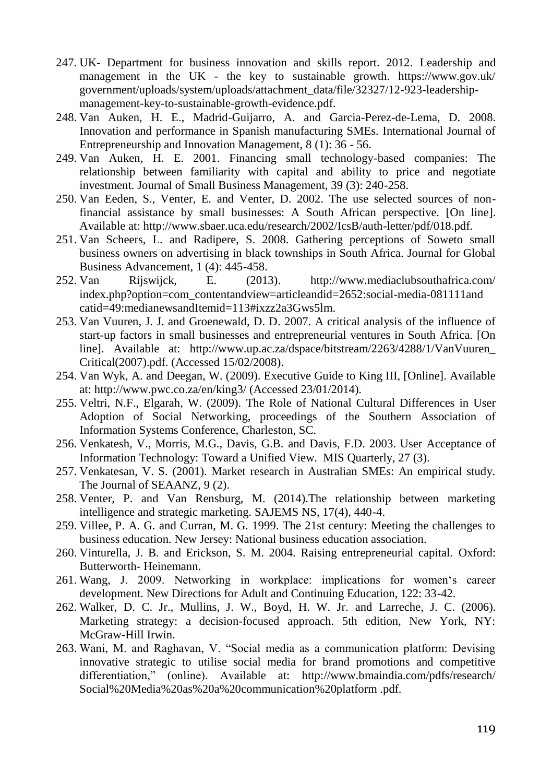- 247. UK- Department for business innovation and skills report. 2012. Leadership and management in the UK - the key to sustainable growth. https://www.gov.uk/ government/uploads/system/uploads/attachment\_data/file/32327/12-923-leadershipmanagement-key-to-sustainable-growth-evidence.pdf.
- 248. Van Auken, H. E., Madrid-Guijarro, A. and Garcia-Perez-de-Lema, D. 2008. Innovation and performance in Spanish manufacturing SMEs. International Journal of Entrepreneurship and Innovation Management, 8 (1): 36 - 56.
- 249. Van Auken, H. E. 2001. Financing small technology-based companies: The relationship between familiarity with capital and ability to price and negotiate investment. Journal of Small Business Management, 39 (3): 240-258.
- 250. Van Eeden, S., Venter, E. and Venter, D. 2002. The use selected sources of nonfinancial assistance by small businesses: A South African perspective. [On line]. Available at: http://www.sbaer.uca.edu/research/2002/IcsB/auth-letter/pdf/018.pdf.
- 251. Van Scheers, L. and Radipere, S. 2008. Gathering perceptions of Soweto small business owners on advertising in black townships in South Africa. Journal for Global Business Advancement, 1 (4): 445-458.
- 252. Van Rijswijck, E. (2013). http://www.mediaclubsouthafrica.com/ index.php?option=com\_contentandview=articleandid=2652:social-media-081111and catid=49:medianewsandItemid=113#ixzz2a3Gws5lm.
- 253. Van Vuuren, J. J. and Groenewald, D. D. 2007. A critical analysis of the influence of start-up factors in small businesses and entrepreneurial ventures in South Africa. [On line]. Available at: http://www.up.ac.za/dspace/bitstream/2263/4288/1/VanVuuren\_ Critical(2007).pdf. (Accessed 15/02/2008).
- 254. Van Wyk, A. and Deegan, W. (2009). Executive Guide to King III, [Online]. Available at: http://www.pwc.co.za/en/king3/ (Accessed 23/01/2014).
- 255. Veltri, N.F., Elgarah, W. (2009). The Role of National Cultural Differences in User Adoption of Social Networking, proceedings of the Southern Association of Information Systems Conference, Charleston, SC.
- 256. Venkatesh, V., Morris, M.G., Davis, G.B. and Davis, F.D. 2003. User Acceptance of Information Technology: Toward a Unified View. MIS Quarterly, 27 (3).
- 257. Venkatesan, V. S. (2001). Market research in Australian SMEs: An empirical study. The Journal of SEAANZ, 9 (2).
- 258. Venter, P. and Van Rensburg, M. (2014).The relationship between marketing intelligence and strategic marketing. SAJEMS NS, 17(4), 440-4.
- 259. Villee, P. A. G. and Curran, M. G. 1999. The 21st century: Meeting the challenges to business education. New Jersey: National business education association.
- 260. Vinturella, J. B. and Erickson, S. M. 2004. Raising entrepreneurial capital. Oxford: Butterworth- Heinemann.
- 261. Wang, J. 2009. Networking in workplace: implications for women's career development. New Directions for Adult and Continuing Education, 122: 33-42.
- 262. Walker, D. C. Jr., Mullins, J. W., Boyd, H. W. Jr. and Larreche, J. C. (2006). Marketing strategy: a decision-focused approach. 5th edition, New York, NY: McGraw-Hill Irwin.
- 263. Wani, M. and Raghavan, V. "Social media as a communication platform: Devising innovative strategic to utilise social media for brand promotions and competitive differentiation," (online). Available at: http://www.bmaindia.com/pdfs/research/ Social%20Media%20as%20a%20communication%20platform .pdf.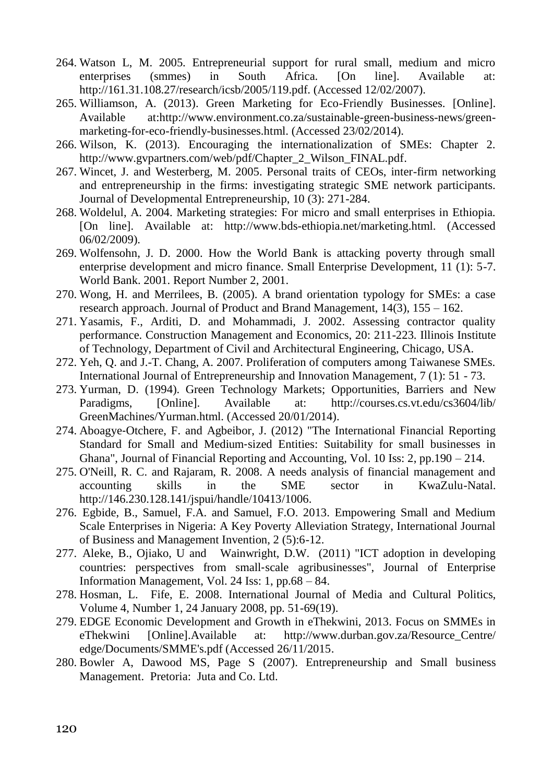- 264. Watson L, M. 2005. Entrepreneurial support for rural small, medium and micro enterprises (smmes) in South Africa. [On line]. Available at: http://161.31.108.27/research/icsb/2005/119.pdf. (Accessed 12/02/2007).
- 265. Williamson, A. (2013). Green Marketing for Eco-Friendly Businesses. [Online]. Available at:http://www.environment.co.za/sustainable-green-business-news/greenmarketing-for-eco-friendly-businesses.html. (Accessed 23/02/2014).
- 266. Wilson, K. (2013). Encouraging the internationalization of SMEs: Chapter 2. http://www.gvpartners.com/web/pdf/Chapter\_2\_Wilson\_FINAL.pdf.
- 267. Wincet, J. and Westerberg, M. 2005. Personal traits of CEOs, inter-firm networking and entrepreneurship in the firms: investigating strategic SME network participants. Journal of Developmental Entrepreneurship, 10 (3): 271-284.
- 268. Woldelul, A. 2004. Marketing strategies: For micro and small enterprises in Ethiopia. [On line]. Available at: http://www.bds-ethiopia.net/marketing.html. (Accessed 06/02/2009).
- 269. Wolfensohn, J. D. 2000. How the World Bank is attacking poverty through small enterprise development and micro finance. Small Enterprise Development, 11 (1): 5-7. World Bank. 2001. Report Number 2, 2001.
- 270. Wong, H. and Merrilees, B. (2005). A brand orientation typology for SMEs: a case research approach. Journal of Product and Brand Management, 14(3), 155 – 162.
- 271. Yasamis, F., Arditi, D. and Mohammadi, J. 2002. Assessing contractor quality performance. Construction Management and Economics, 20: 211-223. Illinois Institute of Technology, Department of Civil and Architectural Engineering, Chicago, USA.
- 272. Yeh, Q. and J.-T. Chang, A. 2007. Proliferation of computers among Taiwanese SMEs. International Journal of Entrepreneurship and Innovation Management, 7 (1): 51 - 73.
- 273. Yurman, D. (1994). Green Technology Markets; Opportunities, Barriers and New Paradigms, [Online]. Available at: http://courses.cs.vt.edu/cs3604/lib/ GreenMachines/Yurman.html. (Accessed 20/01/2014).
- 274. Aboagye‐Otchere, F. and Agbeibor, J. (2012) "The International Financial Reporting Standard for Small and Medium‐sized Entities: Suitability for small businesses in Ghana", Journal of Financial Reporting and Accounting, Vol. 10 Iss: 2, pp.190 – 214.
- 275. O'Neill, R. C. and Rajaram, R. 2008. A needs analysis of financial management and accounting skills in the SME sector in KwaZulu-Natal. accounting skills in the SME sector in KwaZulu-Natal. http://146.230.128.141/jspui/handle/10413/1006.
- 276. Egbide, B., Samuel, F.A. and Samuel, F.O. 2013. Empowering Small and Medium Scale Enterprises in Nigeria: A Key Poverty Alleviation Strategy, International Journal of Business and Management Invention, 2 (5):6-12.
- 277. Aleke, B., Ojiako, U and Wainwright, D.W. (2011) "ICT adoption in developing countries: perspectives from small‐scale agribusinesses", Journal of Enterprise Information Management, Vol. 24 Iss: 1, pp.68 – 84.
- 278. Hosman, L. Fife, E. 2008. International Journal of Media and Cultural Politics, Volume 4, Number 1, 24 January 2008, pp. 51-69(19).
- 279. EDGE Economic Development and Growth in eThekwini, 2013. Focus on SMMEs in eThekwini [Online].Available at: http://www.durban.gov.za/Resource\_Centre/ edge/Documents/SMME's.pdf (Accessed 26/11/2015.
- 280. Bowler A, Dawood MS, Page S (2007). Entrepreneurship and Small business Management. Pretoria: Juta and Co. Ltd.